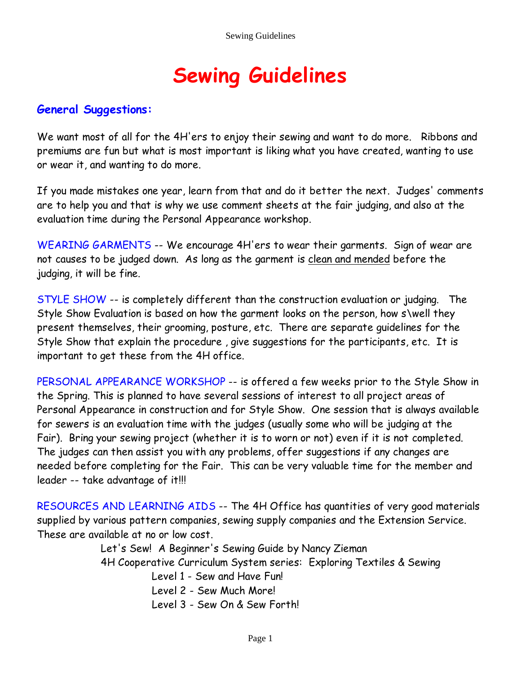# **Sewing Guidelines**

#### **General Suggestions:**

We want most of all for the 4H'ers to enjoy their sewing and want to do more. Ribbons and premiums are fun but what is most important is liking what you have created, wanting to use or wear it, and wanting to do more.

If you made mistakes one year, learn from that and do it better the next. Judges' comments are to help you and that is why we use comment sheets at the fair judging, and also at the evaluation time during the Personal Appearance workshop.

WEARING GARMENTS -- We encourage 4H'ers to wear their garments. Sign of wear are not causes to be judged down. As long as the garment is clean and mended before the judging, it will be fine.

STYLE SHOW -- is completely different than the construction evaluation or judging. The Style Show Evaluation is based on how the garment looks on the person, how s\well they present themselves, their grooming, posture, etc. There are separate guidelines for the Style Show that explain the procedure , give suggestions for the participants, etc. It is important to get these from the 4H office.

PERSONAL APPEARANCE WORKSHOP -- is offered a few weeks prior to the Style Show in the Spring. This is planned to have several sessions of interest to all project areas of Personal Appearance in construction and for Style Show. One session that is always available for sewers is an evaluation time with the judges (usually some who will be judging at the Fair). Bring your sewing project (whether it is to worn or not) even if it is not completed. The judges can then assist you with any problems, offer suggestions if any changes are needed before completing for the Fair. This can be very valuable time for the member and leader -- take advantage of it!!!

RESOURCES AND LEARNING AIDS -- The 4H Office has quantities of very good materials supplied by various pattern companies, sewing supply companies and the Extension Service. These are available at no or low cost.

> Let's Sew! A Beginner's Sewing Guide by Nancy Zieman 4H Cooperative Curriculum System series: Exploring Textiles & Sewing Level 1 - Sew and Have Fun!

> > Level 2 - Sew Much More!

Level 3 - Sew On & Sew Forth!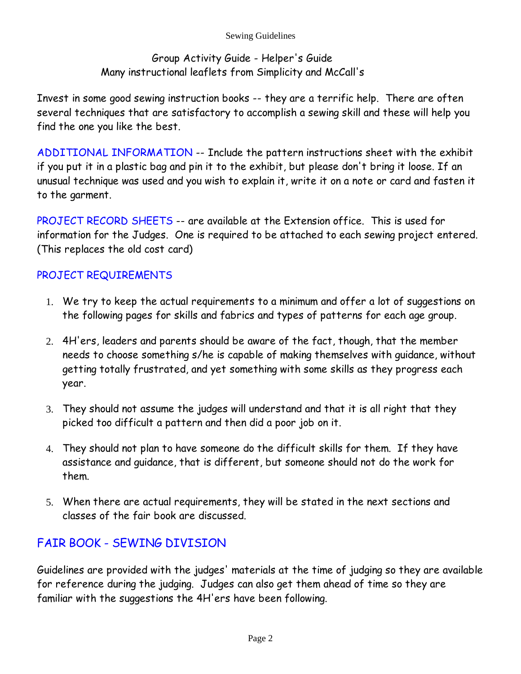Sewing Guidelines

## Group Activity Guide - Helper's Guide Many instructional leaflets from Simplicity and McCall's

Invest in some good sewing instruction books -- they are a terrific help. There are often several techniques that are satisfactory to accomplish a sewing skill and these will help you find the one you like the best.

ADDITIONAL INFORMATION -- Include the pattern instructions sheet with the exhibit if you put it in a plastic bag and pin it to the exhibit, but please don't bring it loose. If an unusual technique was used and you wish to explain it, write it on a note or card and fasten it to the garment.

PROJECT RECORD SHEETS -- are available at the Extension office. This is used for information for the Judges. One is required to be attached to each sewing project entered. (This replaces the old cost card)

# PROJECT REQUIREMENTS

- We try to keep the actual requirements to a minimum and offer a lot of suggestions on 1. the following pages for skills and fabrics and types of patterns for each age group.
- 4H'ers, leaders and parents should be aware of the fact, though, that the member 2. needs to choose something s/he is capable of making themselves with guidance, without getting totally frustrated, and yet something with some skills as they progress each year.
- They should not assume the judges will understand and that it is all right that they 3. picked too difficult a pattern and then did a poor job on it.
- They should not plan to have someone do the difficult skills for them. If they have 4. assistance and guidance, that is different, but someone should not do the work for them.
- When there are actual requirements, they will be stated in the next sections and 5. classes of the fair book are discussed.

# FAIR BOOK - SEWING DIVISION

Guidelines are provided with the judges' materials at the time of judging so they are available for reference during the judging. Judges can also get them ahead of time so they are familiar with the suggestions the 4H'ers have been following.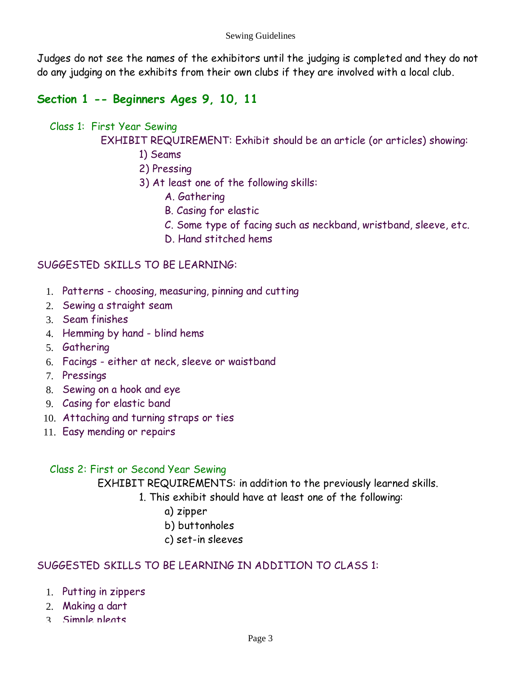Judges do not see the names of the exhibitors until the judging is completed and they do not do any judging on the exhibits from their own clubs if they are involved with a local club.

# **Section 1 -- Beginners Ages 9, 10, 11**

## Class 1: First Year Sewing

EXHIBIT REQUIREMENT: Exhibit should be an article (or articles) showing:

- 1) Seams
- 2) Pressing
- 3) At least one of the following skills:
	- A. Gathering
	- B. Casing for elastic
	- C. Some type of facing such as neckband, wristband, sleeve, etc.
	- D. Hand stitched hems

## SUGGESTED SKILLS TO BE LEARNING:

- Patterns choosing, measuring, pinning and cutting 1.
- 2. Sewing a straight seam
- Seam finishes 3.
- 4. Hemming by hand blind hems
- 5. Gathering
- Facings either at neck, sleeve or waistband 6.
- 7. Pressings
- Sewing on a hook and eye 8.
- Casing for elastic band 9.
- Attaching and turning straps or ties 10.
- 11. Easy mending or repairs

## Class 2: First or Second Year Sewing

EXHIBIT REQUIREMENTS: in addition to the previously learned skills.

- 1. This exhibit should have at least one of the following:
	- a) zipper
	- b) buttonholes
	- c) set-in sleeves

## SUGGESTED SKILLS TO BE LEARNING IN ADDITION TO CLASS 1:

- Putting in zippers 1.
- Making a dart 2.
- 3 Simple pleats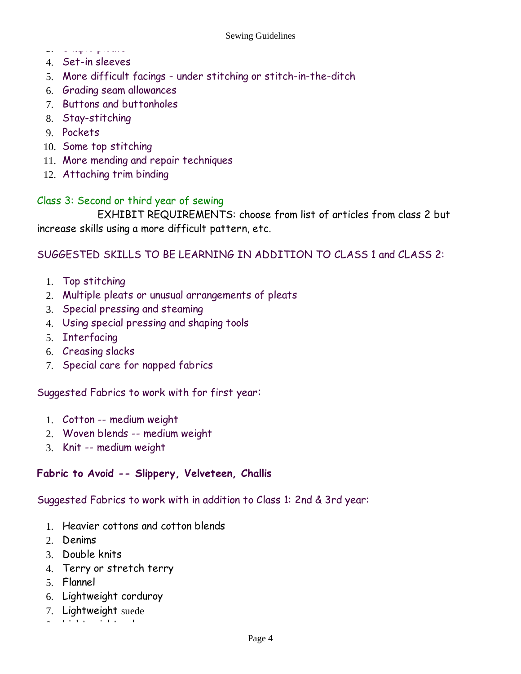- Simple pleats 3.
- 4. Set-in sleeves
- More difficult facings under stitching or stitch-in-the-ditch 5.
- Grading seam allowances 6.
- 7. Buttons and buttonholes
- 8. Stay-stitching
- 9. Pockets
- 10. Some top stitching
- More mending and repair techniques 11.
- Attaching trim binding 12.

#### Class 3: Second or third year of sewing

 EXHIBIT REQUIREMENTS: choose from list of articles from class 2 but increase skills using a more difficult pattern, etc.

#### SUGGESTED SKILLS TO BE LEARNING IN ADDITION TO CLASS 1 and CLASS 2:

- 1. Top stitching
- Multiple pleats or unusual arrangements of pleats 2.
- 3. Special pressing and steaming
- Using special pressing and shaping tools 4.
- 5. Interfacing
- 6. Creasing slacks
- 7. Special care for napped fabrics

#### Suggested Fabrics to work with for first year:

- Cotton -- medium weight 1.
- Woven blends -- medium weight 2.
- 3. Knit -- medium weight

#### **Fabric to Avoid -- Slippery, Velveteen, Challis**

#### Suggested Fabrics to work with in addition to Class 1: 2nd & 3rd year:

- 1. Heavier cottons and cotton blends
- 2. Denims
- 3. Double knits
- Terry or stretch terry 4.
- Flannel 5.
- 6. Lightweight corduroy
- 7. Lightweight suede
- $8 \times 10^7$  has  $\sim 20$  has  $\sim$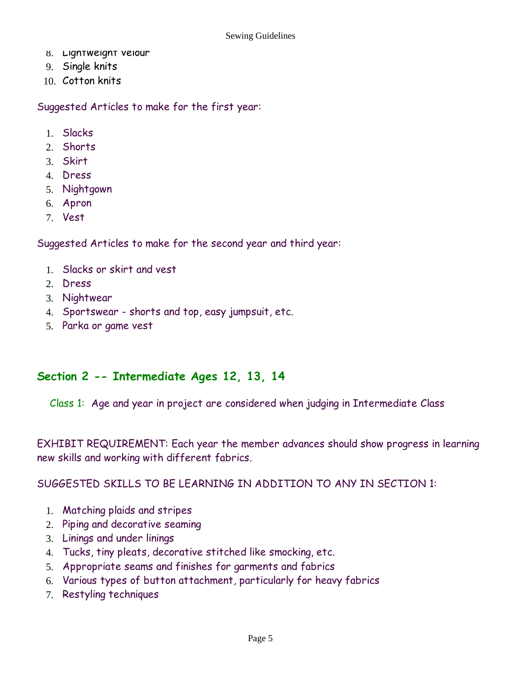- 8. Ligntweignt velour
- Single knits 9.
- 10. Cotton knits

Suggested Articles to make for the first year:

- Slacks 1.
- 2. Shorts
- Skirt 3.
- 4. Dress
- Nightgown 5.
- Apron 6.
- 7. Vest

Suggested Articles to make for the second year and third year:

- Slacks or skirt and vest 1.
- 2. Dress
- 3. Nightwear
- Sportswear shorts and top, easy jumpsuit, etc. 4.
- Parka or game vest 5.

## **Section 2 -- Intermediate Ages 12, 13, 14**

Class 1: Age and year in project are considered when judging in Intermediate Class

EXHIBIT REQUIREMENT: Each year the member advances should show progress in learning new skills and working with different fabrics.

SUGGESTED SKILLS TO BE LEARNING IN ADDITION TO ANY IN SECTION 1:

- Matching plaids and stripes 1.
- 2. Piping and decorative seaming
- Linings and under linings 3.
- Tucks, tiny pleats, decorative stitched like smocking, etc. 4.
- Appropriate seams and finishes for garments and fabrics 5.
- Various types of button attachment, particularly for heavy fabrics 6.
- 7. Restyling techniques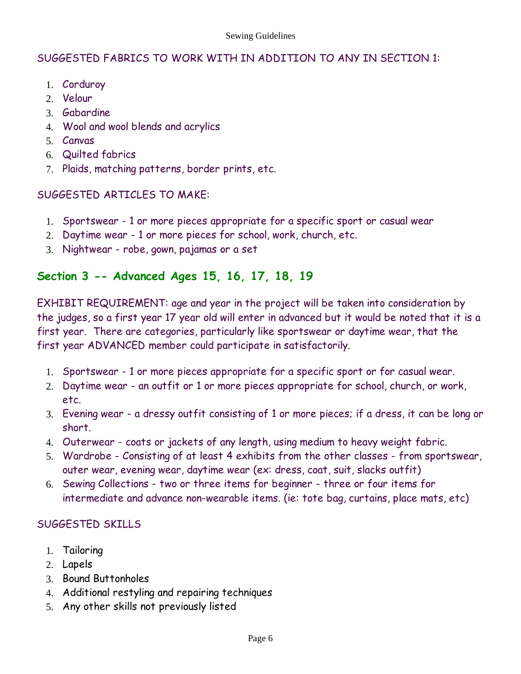#### SUGGESTED FABRICS TO WORK WITH IN ADDITION TO ANY IN SECTION 1:

- 1. Corduroy
- 2. Velour
- 3. Gabardine
- Wool and wool blends and acrylics 4.
- Canvas 5.
- Quilted fabrics 6.
- Plaids, matching patterns, border prints, etc. 7.

#### SUGGESTED ARTICLES TO MAKE:

- 1. Sportswear 1 or more pieces appropriate for a specific sport or casual wear
- 2. Daytime wear 1 or more pieces for school, work, church, etc.
- Nightwear robe, gown, pajamas or a set 3.

# **Section 3 -- Advanced Ages 15, 16, 17, 18, 19**

EXHIBIT REQUIREMENT: age and year in the project will be taken into consideration by the judges, so a first year 17 year old will enter in advanced but it would be noted that it is a first year. There are categories, particularly like sportswear or daytime wear, that the first year ADVANCED member could participate in satisfactorily.

- 1. Sportswear 1 or more pieces appropriate for a specific sport or for casual wear.
- 2. Daytime wear an outfit or 1 or more pieces appropriate for school, church, or work, etc.
- Evening wear a dressy outfit consisting of 1 or more pieces; if a dress, it can be long or 3. short.
- Outerwear coats or jackets of any length, using medium to heavy weight fabric. 4.
- Wardrobe Consisting of at least 4 exhibits from the other classes from sportswear, 5. outer wear, evening wear, daytime wear (ex: dress, coat, suit, slacks outfit)
- 6. Sewing Collections two or three items for beginner three or four items for intermediate and advance non-wearable items. (ie: tote bag, curtains, place mats, etc)

## SUGGESTED SKILLS

- 1. Tailoring
- 2. Lapels
- 3. Bound Buttonholes
- Additional restyling and repairing techniques 4.
- 5. Any other skills not previously listed